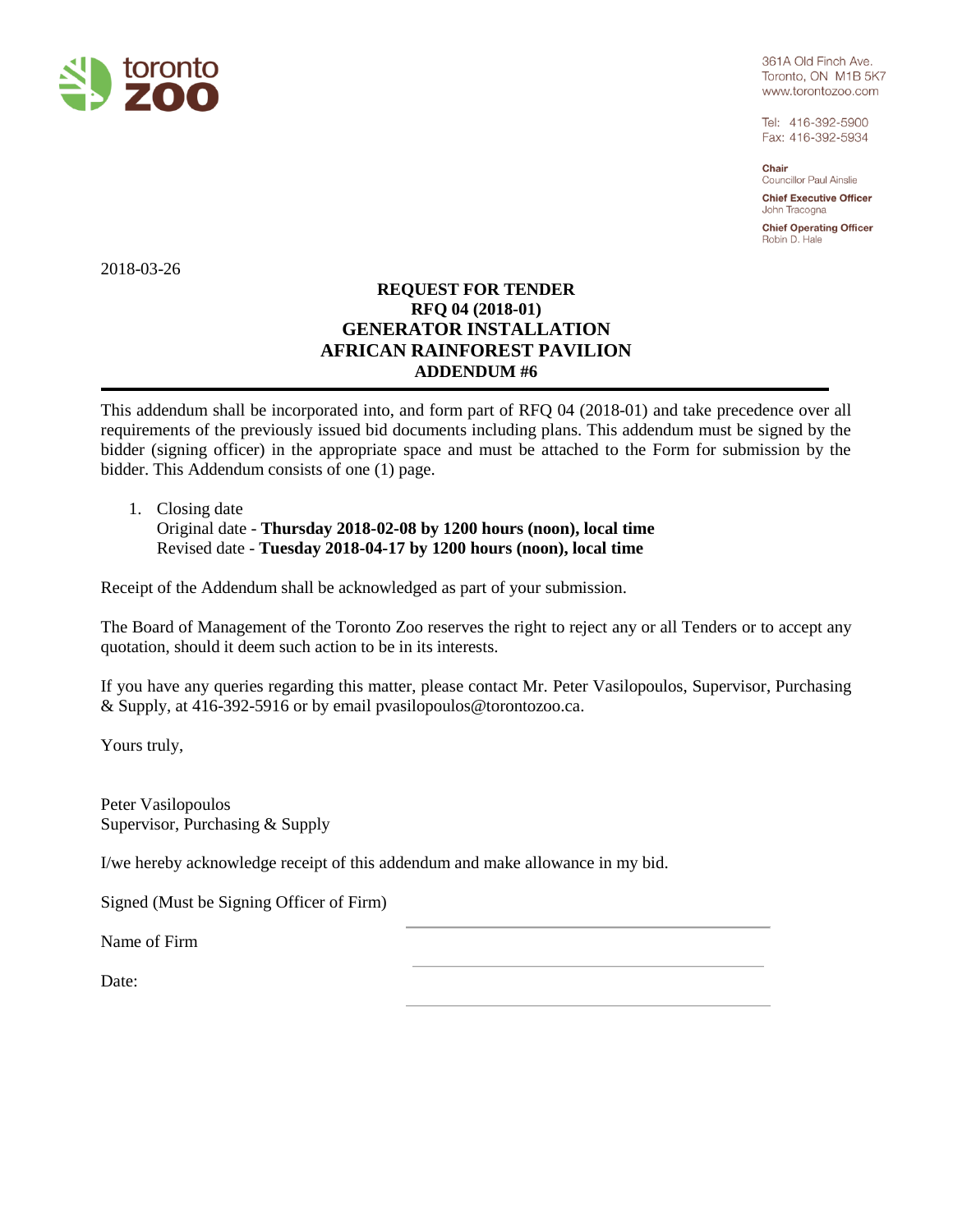

361A Old Finch Ave. Toronto, ON M1B 5K7 www.torontozoo.com

Tel: 416-392-5900 Fax: 416-392-5934

Chair **Councillor Paul Ainslie** 

**Chief Executive Officer** John Tracogna

**Chief Operating Officer** Robin D. Hale

2018-03-26

## **REQUEST FOR TENDER RFQ 04 (2018-01) GENERATOR INSTALLATION AFRICAN RAINFOREST PAVILION ADDENDUM #6**

This addendum shall be incorporated into, and form part of RFQ 04 (2018-01) and take precedence over all requirements of the previously issued bid documents including plans. This addendum must be signed by the bidder (signing officer) in the appropriate space and must be attached to the Form for submission by the bidder. This Addendum consists of one (1) page.

## 1. Closing date

Original date - **Thursday 2018-02-08 by 1200 hours (noon), local time** Revised date - **Tuesday 2018-04-17 by 1200 hours (noon), local time**

Receipt of the Addendum shall be acknowledged as part of your submission.

The Board of Management of the Toronto Zoo reserves the right to reject any or all Tenders or to accept any quotation, should it deem such action to be in its interests.

If you have any queries regarding this matter, please contact Mr. Peter Vasilopoulos, Supervisor, Purchasing & Supply, at 416-392-5916 or by email pvasilopoulos@torontozoo.ca.

Yours truly,

Peter Vasilopoulos Supervisor, Purchasing & Supply

I/we hereby acknowledge receipt of this addendum and make allowance in my bid.

Signed (Must be Signing Officer of Firm)

Name of Firm

Date: